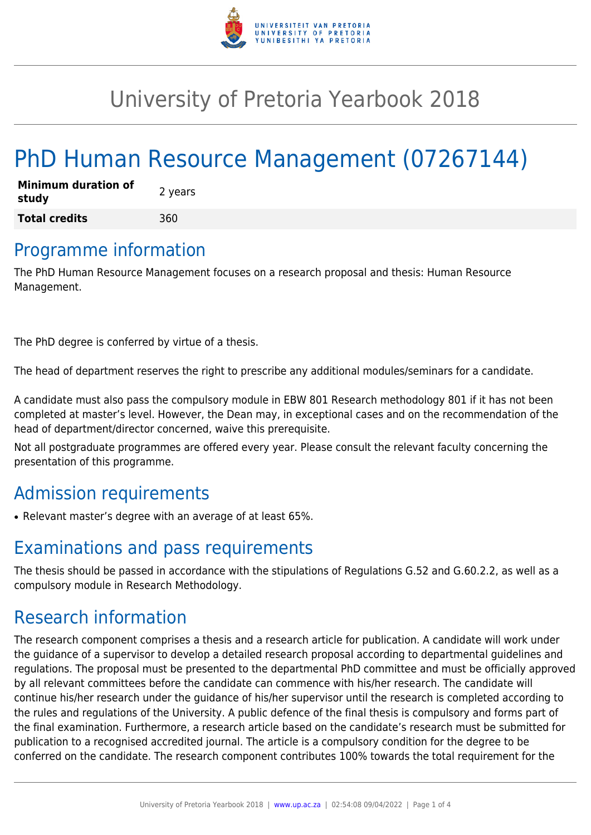

## University of Pretoria Yearbook 2018

# PhD Human Resource Management (07267144)

| <b>Minimum duration of</b><br>study | 2 years |
|-------------------------------------|---------|
| <b>Total credits</b>                | 360     |

## Programme information

The PhD Human Resource Management focuses on a research proposal and thesis: Human Resource Management.

The PhD degree is conferred by virtue of a thesis.

The head of department reserves the right to prescribe any additional modules/seminars for a candidate.

A candidate must also pass the compulsory module in EBW 801 Research methodology 801 if it has not been completed at master's level. However, the Dean may, in exceptional cases and on the recommendation of the head of department/director concerned, waive this prerequisite.

Not all postgraduate programmes are offered every year. Please consult the relevant faculty concerning the presentation of this programme.

## Admission requirements

• Relevant master's degree with an average of at least 65%.

## Examinations and pass requirements

The thesis should be passed in accordance with the stipulations of Regulations G.52 and G.60.2.2, as well as a compulsory module in Research Methodology.

## Research information

The research component comprises a thesis and a research article for publication. A candidate will work under the guidance of a supervisor to develop a detailed research proposal according to departmental guidelines and regulations. The proposal must be presented to the departmental PhD committee and must be officially approved by all relevant committees before the candidate can commence with his/her research. The candidate will continue his/her research under the guidance of his/her supervisor until the research is completed according to the rules and regulations of the University. A public defence of the final thesis is compulsory and forms part of the final examination. Furthermore, a research article based on the candidate's research must be submitted for publication to a recognised accredited journal. The article is a compulsory condition for the degree to be conferred on the candidate. The research component contributes 100% towards the total requirement for the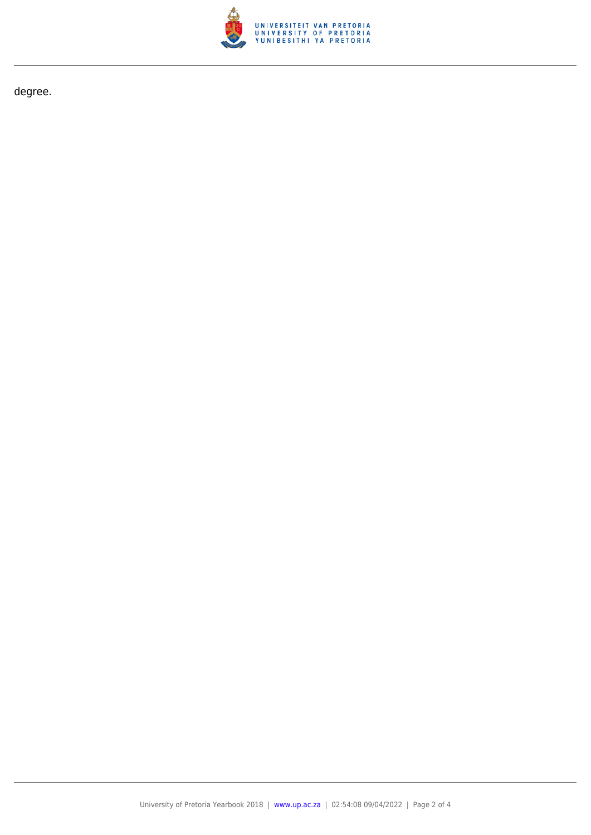

degree.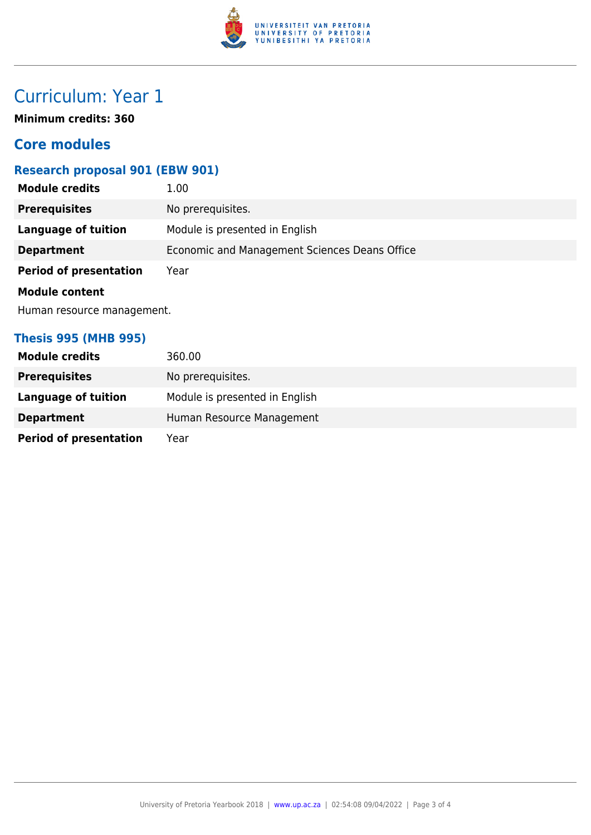

## Curriculum: Year 1

**Minimum credits: 360**

### **Core modules**

#### **Research proposal 901 (EBW 901)**

| <b>Module credits</b>         | 1.00                                          |  |
|-------------------------------|-----------------------------------------------|--|
| <b>Prerequisites</b>          | No prerequisites.                             |  |
| <b>Language of tuition</b>    | Module is presented in English                |  |
| <b>Department</b>             | Economic and Management Sciences Deans Office |  |
| <b>Period of presentation</b> | Year                                          |  |
| <b>Module content</b>         |                                               |  |
| Human resource management.    |                                               |  |
|                               |                                               |  |

#### **Thesis 995 (MHB 995)**

| <b>Module credits</b>         | 360.00                         |
|-------------------------------|--------------------------------|
| <b>Prerequisites</b>          | No prerequisites.              |
| <b>Language of tuition</b>    | Module is presented in English |
| <b>Department</b>             | Human Resource Management      |
| <b>Period of presentation</b> | Year                           |